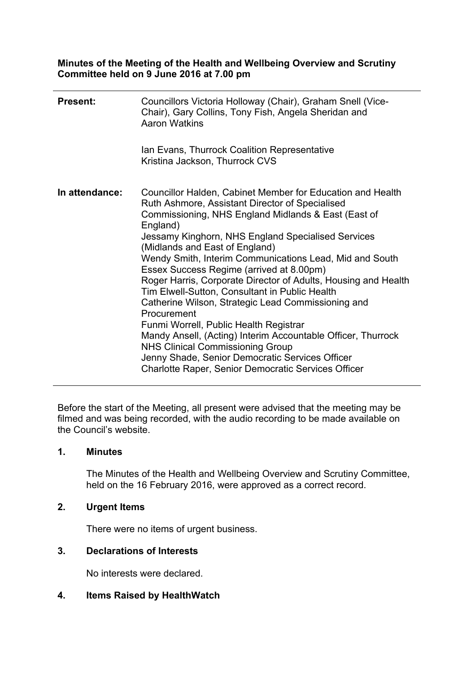**Minutes of the Meeting of the Health and Wellbeing Overview and Scrutiny Committee held on 9 June 2016 at 7.00 pm**

| <b>Present:</b> | Councillors Victoria Holloway (Chair), Graham Snell (Vice-<br>Chair), Gary Collins, Tony Fish, Angela Sheridan and<br><b>Aaron Watkins</b><br>Ian Evans, Thurrock Coalition Representative<br>Kristina Jackson, Thurrock CVS                                                                                                                                                                                                                                                                                                                                                                                                                                                                                                                                                                                                                   |
|-----------------|------------------------------------------------------------------------------------------------------------------------------------------------------------------------------------------------------------------------------------------------------------------------------------------------------------------------------------------------------------------------------------------------------------------------------------------------------------------------------------------------------------------------------------------------------------------------------------------------------------------------------------------------------------------------------------------------------------------------------------------------------------------------------------------------------------------------------------------------|
|                 |                                                                                                                                                                                                                                                                                                                                                                                                                                                                                                                                                                                                                                                                                                                                                                                                                                                |
| In attendance:  | Councillor Halden, Cabinet Member for Education and Health<br>Ruth Ashmore, Assistant Director of Specialised<br>Commissioning, NHS England Midlands & East (East of<br>England)<br>Jessamy Kinghorn, NHS England Specialised Services<br>(Midlands and East of England)<br>Wendy Smith, Interim Communications Lead, Mid and South<br>Essex Success Regime (arrived at 8.00pm)<br>Roger Harris, Corporate Director of Adults, Housing and Health<br>Tim Elwell-Sutton, Consultant in Public Health<br>Catherine Wilson, Strategic Lead Commissioning and<br>Procurement<br>Funmi Worrell, Public Health Registrar<br>Mandy Ansell, (Acting) Interim Accountable Officer, Thurrock<br><b>NHS Clinical Commissioning Group</b><br>Jenny Shade, Senior Democratic Services Officer<br><b>Charlotte Raper, Senior Democratic Services Officer</b> |

Before the start of the Meeting, all present were advised that the meeting may be filmed and was being recorded, with the audio recording to be made available on the Council's website.

## **1. Minutes**

The Minutes of the Health and Wellbeing Overview and Scrutiny Committee, held on the 16 February 2016, were approved as a correct record.

# **2. Urgent Items**

There were no items of urgent business.

# **3. Declarations of Interests**

No interests were declared.

**4. Items Raised by HealthWatch**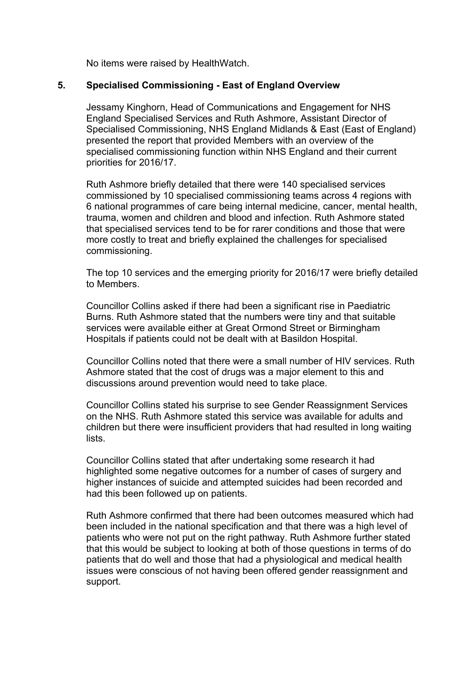No items were raised by HealthWatch.

#### **5. Specialised Commissioning - East of England Overview**

Jessamy Kinghorn, Head of Communications and Engagement for NHS England Specialised Services and Ruth Ashmore, Assistant Director of Specialised Commissioning, NHS England Midlands & East (East of England) presented the report that provided Members with an overview of the specialised commissioning function within NHS England and their current priorities for 2016/17.

Ruth Ashmore briefly detailed that there were 140 specialised services commissioned by 10 specialised commissioning teams across 4 regions with 6 national programmes of care being internal medicine, cancer, mental health, trauma, women and children and blood and infection. Ruth Ashmore stated that specialised services tend to be for rarer conditions and those that were more costly to treat and briefly explained the challenges for specialised commissioning.

The top 10 services and the emerging priority for 2016/17 were briefly detailed to Members.

Councillor Collins asked if there had been a significant rise in Paediatric Burns. Ruth Ashmore stated that the numbers were tiny and that suitable services were available either at Great Ormond Street or Birmingham Hospitals if patients could not be dealt with at Basildon Hospital.

Councillor Collins noted that there were a small number of HIV services. Ruth Ashmore stated that the cost of drugs was a major element to this and discussions around prevention would need to take place.

Councillor Collins stated his surprise to see Gender Reassignment Services on the NHS. Ruth Ashmore stated this service was available for adults and children but there were insufficient providers that had resulted in long waiting lists.

Councillor Collins stated that after undertaking some research it had highlighted some negative outcomes for a number of cases of surgery and higher instances of suicide and attempted suicides had been recorded and had this been followed up on patients.

Ruth Ashmore confirmed that there had been outcomes measured which had been included in the national specification and that there was a high level of patients who were not put on the right pathway. Ruth Ashmore further stated that this would be subject to looking at both of those questions in terms of do patients that do well and those that had a physiological and medical health issues were conscious of not having been offered gender reassignment and support.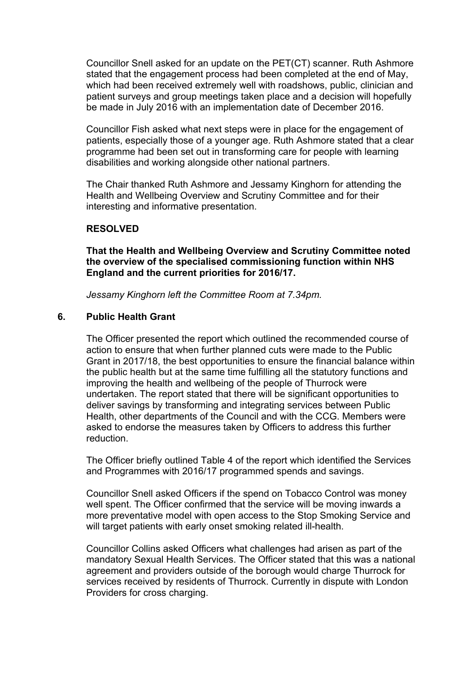Councillor Snell asked for an update on the PET(CT) scanner. Ruth Ashmore stated that the engagement process had been completed at the end of May, which had been received extremely well with roadshows, public, clinician and patient surveys and group meetings taken place and a decision will hopefully be made in July 2016 with an implementation date of December 2016.

Councillor Fish asked what next steps were in place for the engagement of patients, especially those of a younger age. Ruth Ashmore stated that a clear programme had been set out in transforming care for people with learning disabilities and working alongside other national partners.

The Chair thanked Ruth Ashmore and Jessamy Kinghorn for attending the Health and Wellbeing Overview and Scrutiny Committee and for their interesting and informative presentation.

#### **RESOLVED**

**That the Health and Wellbeing Overview and Scrutiny Committee noted the overview of the specialised commissioning function within NHS England and the current priorities for 2016/17.**

*Jessamy Kinghorn left the Committee Room at 7.34pm.*

#### **6. Public Health Grant**

The Officer presented the report which outlined the recommended course of action to ensure that when further planned cuts were made to the Public Grant in 2017/18, the best opportunities to ensure the financial balance within the public health but at the same time fulfilling all the statutory functions and improving the health and wellbeing of the people of Thurrock were undertaken. The report stated that there will be significant opportunities to deliver savings by transforming and integrating services between Public Health, other departments of the Council and with the CCG. Members were asked to endorse the measures taken by Officers to address this further reduction.

The Officer briefly outlined Table 4 of the report which identified the Services and Programmes with 2016/17 programmed spends and savings.

Councillor Snell asked Officers if the spend on Tobacco Control was money well spent. The Officer confirmed that the service will be moving inwards a more preventative model with open access to the Stop Smoking Service and will target patients with early onset smoking related ill-health.

Councillor Collins asked Officers what challenges had arisen as part of the mandatory Sexual Health Services. The Officer stated that this was a national agreement and providers outside of the borough would charge Thurrock for services received by residents of Thurrock. Currently in dispute with London Providers for cross charging.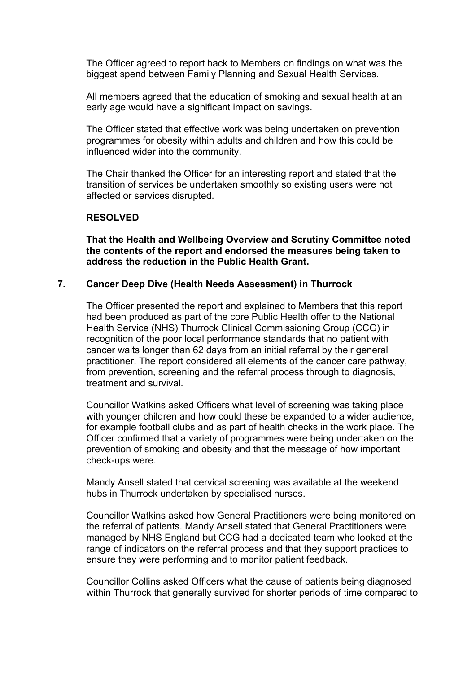The Officer agreed to report back to Members on findings on what was the biggest spend between Family Planning and Sexual Health Services.

All members agreed that the education of smoking and sexual health at an early age would have a significant impact on savings.

The Officer stated that effective work was being undertaken on prevention programmes for obesity within adults and children and how this could be influenced wider into the community.

The Chair thanked the Officer for an interesting report and stated that the transition of services be undertaken smoothly so existing users were not affected or services disrupted.

#### **RESOLVED**

**That the Health and Wellbeing Overview and Scrutiny Committee noted the contents of the report and endorsed the measures being taken to address the reduction in the Public Health Grant.**

#### **7. Cancer Deep Dive (Health Needs Assessment) in Thurrock**

The Officer presented the report and explained to Members that this report had been produced as part of the core Public Health offer to the National Health Service (NHS) Thurrock Clinical Commissioning Group (CCG) in recognition of the poor local performance standards that no patient with cancer waits longer than 62 days from an initial referral by their general practitioner. The report considered all elements of the cancer care pathway, from prevention, screening and the referral process through to diagnosis, treatment and survival.

Councillor Watkins asked Officers what level of screening was taking place with younger children and how could these be expanded to a wider audience, for example football clubs and as part of health checks in the work place. The Officer confirmed that a variety of programmes were being undertaken on the prevention of smoking and obesity and that the message of how important check-ups were.

Mandy Ansell stated that cervical screening was available at the weekend hubs in Thurrock undertaken by specialised nurses.

Councillor Watkins asked how General Practitioners were being monitored on the referral of patients. Mandy Ansell stated that General Practitioners were managed by NHS England but CCG had a dedicated team who looked at the range of indicators on the referral process and that they support practices to ensure they were performing and to monitor patient feedback.

Councillor Collins asked Officers what the cause of patients being diagnosed within Thurrock that generally survived for shorter periods of time compared to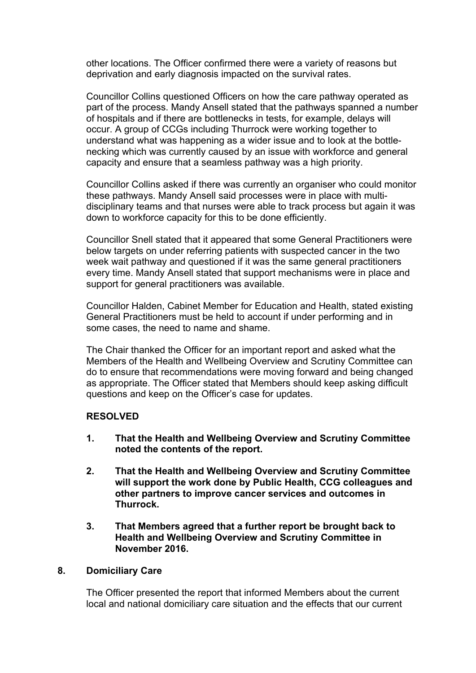other locations. The Officer confirmed there were a variety of reasons but deprivation and early diagnosis impacted on the survival rates.

Councillor Collins questioned Officers on how the care pathway operated as part of the process. Mandy Ansell stated that the pathways spanned a number of hospitals and if there are bottlenecks in tests, for example, delays will occur. A group of CCGs including Thurrock were working together to understand what was happening as a wider issue and to look at the bottlenecking which was currently caused by an issue with workforce and general capacity and ensure that a seamless pathway was a high priority.

Councillor Collins asked if there was currently an organiser who could monitor these pathways. Mandy Ansell said processes were in place with multidisciplinary teams and that nurses were able to track process but again it was down to workforce capacity for this to be done efficiently.

Councillor Snell stated that it appeared that some General Practitioners were below targets on under referring patients with suspected cancer in the two week wait pathway and questioned if it was the same general practitioners every time. Mandy Ansell stated that support mechanisms were in place and support for general practitioners was available.

Councillor Halden, Cabinet Member for Education and Health, stated existing General Practitioners must be held to account if under performing and in some cases, the need to name and shame.

The Chair thanked the Officer for an important report and asked what the Members of the Health and Wellbeing Overview and Scrutiny Committee can do to ensure that recommendations were moving forward and being changed as appropriate. The Officer stated that Members should keep asking difficult questions and keep on the Officer's case for updates.

## **RESOLVED**

- **1. That the Health and Wellbeing Overview and Scrutiny Committee noted the contents of the report.**
- **2. That the Health and Wellbeing Overview and Scrutiny Committee will support the work done by Public Health, CCG colleagues and other partners to improve cancer services and outcomes in Thurrock.**
- **3. That Members agreed that a further report be brought back to Health and Wellbeing Overview and Scrutiny Committee in November 2016.**

## **8. Domiciliary Care**

The Officer presented the report that informed Members about the current local and national domiciliary care situation and the effects that our current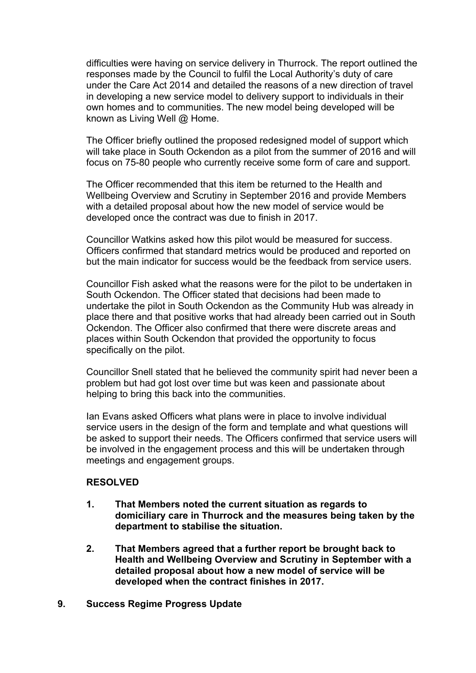difficulties were having on service delivery in Thurrock. The report outlined the responses made by the Council to fulfil the Local Authority's duty of care under the Care Act 2014 and detailed the reasons of a new direction of travel in developing a new service model to delivery support to individuals in their own homes and to communities. The new model being developed will be known as Living Well @ Home.

The Officer briefly outlined the proposed redesigned model of support which will take place in South Ockendon as a pilot from the summer of 2016 and will focus on 75-80 people who currently receive some form of care and support.

The Officer recommended that this item be returned to the Health and Wellbeing Overview and Scrutiny in September 2016 and provide Members with a detailed proposal about how the new model of service would be developed once the contract was due to finish in 2017.

Councillor Watkins asked how this pilot would be measured for success. Officers confirmed that standard metrics would be produced and reported on but the main indicator for success would be the feedback from service users.

Councillor Fish asked what the reasons were for the pilot to be undertaken in South Ockendon. The Officer stated that decisions had been made to undertake the pilot in South Ockendon as the Community Hub was already in place there and that positive works that had already been carried out in South Ockendon. The Officer also confirmed that there were discrete areas and places within South Ockendon that provided the opportunity to focus specifically on the pilot.

Councillor Snell stated that he believed the community spirit had never been a problem but had got lost over time but was keen and passionate about helping to bring this back into the communities.

Ian Evans asked Officers what plans were in place to involve individual service users in the design of the form and template and what questions will be asked to support their needs. The Officers confirmed that service users will be involved in the engagement process and this will be undertaken through meetings and engagement groups.

## **RESOLVED**

- **1. That Members noted the current situation as regards to domiciliary care in Thurrock and the measures being taken by the department to stabilise the situation.**
- **2. That Members agreed that a further report be brought back to Health and Wellbeing Overview and Scrutiny in September with a detailed proposal about how a new model of service will be developed when the contract finishes in 2017.**
- **9. Success Regime Progress Update**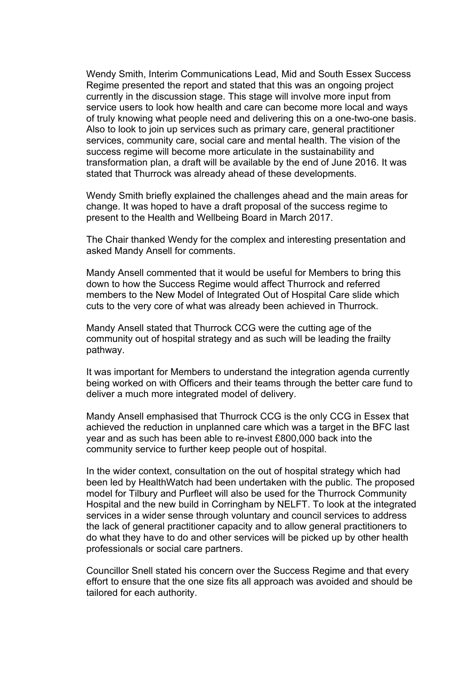Wendy Smith, Interim Communications Lead, Mid and South Essex Success Regime presented the report and stated that this was an ongoing project currently in the discussion stage. This stage will involve more input from service users to look how health and care can become more local and ways of truly knowing what people need and delivering this on a one-two-one basis. Also to look to join up services such as primary care, general practitioner services, community care, social care and mental health. The vision of the success regime will become more articulate in the sustainability and transformation plan, a draft will be available by the end of June 2016. It was stated that Thurrock was already ahead of these developments.

Wendy Smith briefly explained the challenges ahead and the main areas for change. It was hoped to have a draft proposal of the success regime to present to the Health and Wellbeing Board in March 2017.

The Chair thanked Wendy for the complex and interesting presentation and asked Mandy Ansell for comments.

Mandy Ansell commented that it would be useful for Members to bring this down to how the Success Regime would affect Thurrock and referred members to the New Model of Integrated Out of Hospital Care slide which cuts to the very core of what was already been achieved in Thurrock.

Mandy Ansell stated that Thurrock CCG were the cutting age of the community out of hospital strategy and as such will be leading the frailty pathway.

It was important for Members to understand the integration agenda currently being worked on with Officers and their teams through the better care fund to deliver a much more integrated model of delivery.

Mandy Ansell emphasised that Thurrock CCG is the only CCG in Essex that achieved the reduction in unplanned care which was a target in the BFC last year and as such has been able to re-invest £800,000 back into the community service to further keep people out of hospital.

In the wider context, consultation on the out of hospital strategy which had been led by HealthWatch had been undertaken with the public. The proposed model for Tilbury and Purfleet will also be used for the Thurrock Community Hospital and the new build in Corringham by NELFT. To look at the integrated services in a wider sense through voluntary and council services to address the lack of general practitioner capacity and to allow general practitioners to do what they have to do and other services will be picked up by other health professionals or social care partners.

Councillor Snell stated his concern over the Success Regime and that every effort to ensure that the one size fits all approach was avoided and should be tailored for each authority.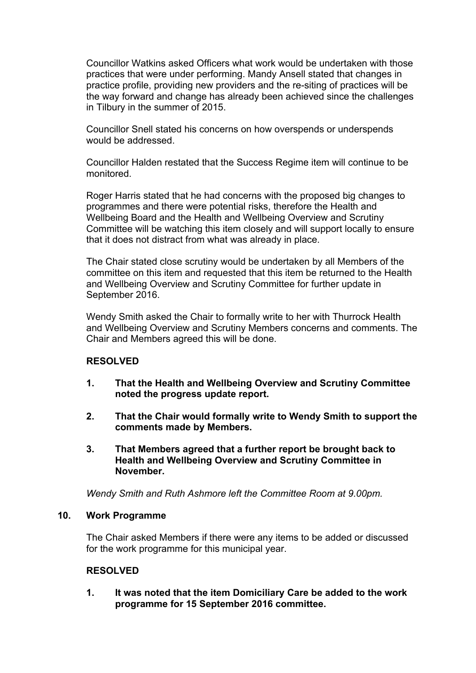Councillor Watkins asked Officers what work would be undertaken with those practices that were under performing. Mandy Ansell stated that changes in practice profile, providing new providers and the re-siting of practices will be the way forward and change has already been achieved since the challenges in Tilbury in the summer of 2015.

Councillor Snell stated his concerns on how overspends or underspends would be addressed.

Councillor Halden restated that the Success Regime item will continue to be monitored.

Roger Harris stated that he had concerns with the proposed big changes to programmes and there were potential risks, therefore the Health and Wellbeing Board and the Health and Wellbeing Overview and Scrutiny Committee will be watching this item closely and will support locally to ensure that it does not distract from what was already in place.

The Chair stated close scrutiny would be undertaken by all Members of the committee on this item and requested that this item be returned to the Health and Wellbeing Overview and Scrutiny Committee for further update in September 2016.

Wendy Smith asked the Chair to formally write to her with Thurrock Health and Wellbeing Overview and Scrutiny Members concerns and comments. The Chair and Members agreed this will be done.

## **RESOLVED**

- **1. That the Health and Wellbeing Overview and Scrutiny Committee noted the progress update report.**
- **2. That the Chair would formally write to Wendy Smith to support the comments made by Members.**
- **3. That Members agreed that a further report be brought back to Health and Wellbeing Overview and Scrutiny Committee in November.**

*Wendy Smith and Ruth Ashmore left the Committee Room at 9.00pm.*

## **10. Work Programme**

The Chair asked Members if there were any items to be added or discussed for the work programme for this municipal year.

## **RESOLVED**

**1. It was noted that the item Domiciliary Care be added to the work programme for 15 September 2016 committee.**